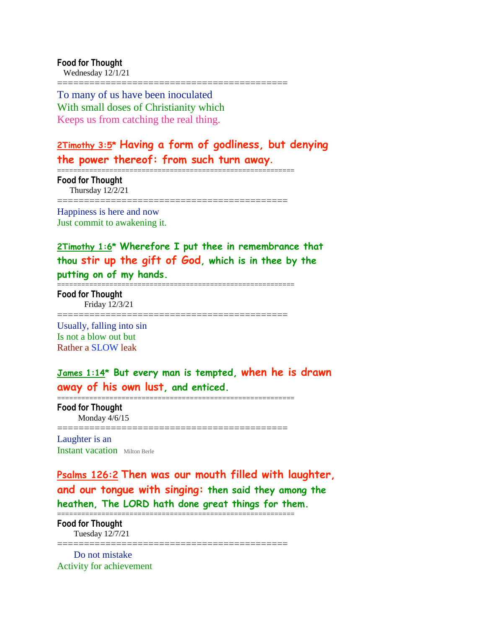**Food for Thought** Wednesday 12/1/21

===========================================

===========================================================

To many of us have been inoculated With small doses of Christianity which Keeps us from catching the real thing.

# **2Timothy 3:5\* Having a form of godliness, but denying the power thereof: from such turn away**.

**Food for Thought** Thursday 12/2/21 ===========================================

Happiness is here and now Just commit to awakening it.

**2Timothy 1:6\* Wherefore I put thee in remembrance that thou stir up the gift of God, which is in thee by the putting on of my hands.**

**Food for Thought** Friday 12/3/21

===========================================

===========================================================

Usually, falling into sin Is not a blow out but Rather a SLOW leak

**James 1:14\* But every man is tempted, when he is drawn away of his own lust, and enticed.**

**Food for Thought** Monday 4/6/15

===========================================

===========================================================

Laughter is an Instant vacation Milton Berle

**Psalms 126:2 Then was our mouth filled with laughter, and our tongue with singing: then said they among the heathen, The LORD hath done great things for them.**

=========================================================== **Food for Thought** Tuesday 12/7/21

=========================================== Do not mistake

Activity for achievement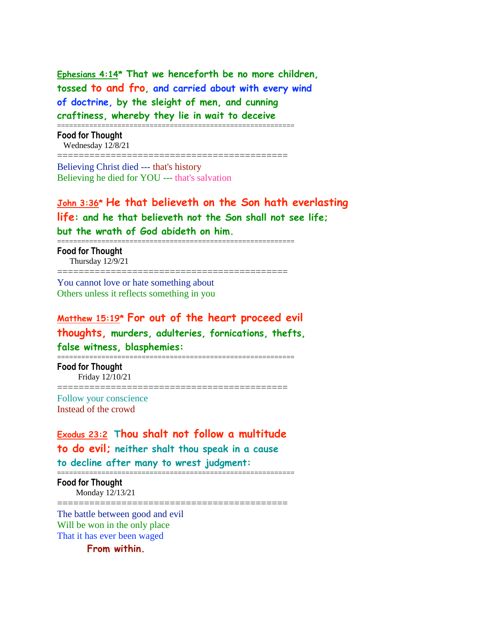**Ephesians 4:14\* That we henceforth be no more children, tossed to and fro, and carried about with every wind of doctrine, by the sleight of men, and cunning craftiness, whereby they lie in wait to deceive**

===========================================================

===========================================

**Food for Thought** Wednesday 12/8/21

Believing Christ died --- that's history Believing he died for YOU --- that's salvation

**John 3:36\* He that believeth on the Son hath everlasting life: and he that believeth not the Son shall not see life; but the wrath of God abideth on him.**

===========================================================

**Food for Thought** Thursday 12/9/21

===========================================

You cannot love or hate something about Others unless it reflects something in you

# **Matthew 15:19\* For out of the heart proceed evil thoughts, murders, adulteries, fornications, thefts, false witness, blasphemies:**

===========================================================

===========================================

**Food for Thought** Friday 12/10/21

Follow your conscience Instead of the crowd

# **Exodus 23:2 Thou shalt not follow a multitude to do evil; neither shalt thou speak in a cause to decline after many to wrest judgment:**

===========================================================

**Food for Thought** Monday 12/13/21 ===========================================

The battle between good and evil Will be won in the only place That it has ever been waged

**From within.**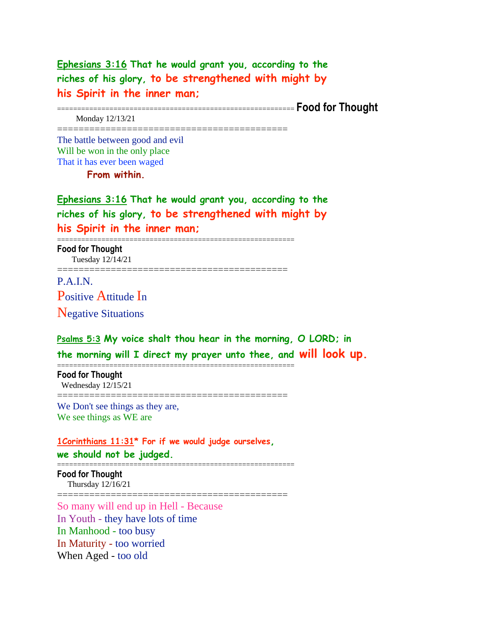**Ephesians 3:16 That he would grant you, according to the riches of his glory, to be strengthened with might by his Spirit in the inner man;** =========================================================== **Food for Thought** Monday 12/13/21 =========================================== The battle between good and evil Will be won in the only place That it has ever been waged **From within. Ephesians 3:16 That he would grant you, according to the riches of his glory, to be strengthened with might by his Spirit in the inner man;** =========================================================== **Food for Thought** Tuesday 12/14/21 =========================================== P.A.I.N. Positive Attitude In Negative Situations **Psalms 5:3 My voice shalt thou hear in the morning, O LORD; in the morning will I direct my prayer unto thee, and will look up.** =========================================================== **Food for Thought** Wednesday 12/15/21 =========================================== We Don't see things as they are, We see things as WE are

**1Corinthians 11:31\* For if we would judge ourselves, we should not be judged.**

===========================================================

**Food for Thought** Thursday 12/16/21 ===========================================

So many will end up in Hell - Because In Youth - they have lots of time In Manhood - too busy In Maturity - too worried When Aged - too old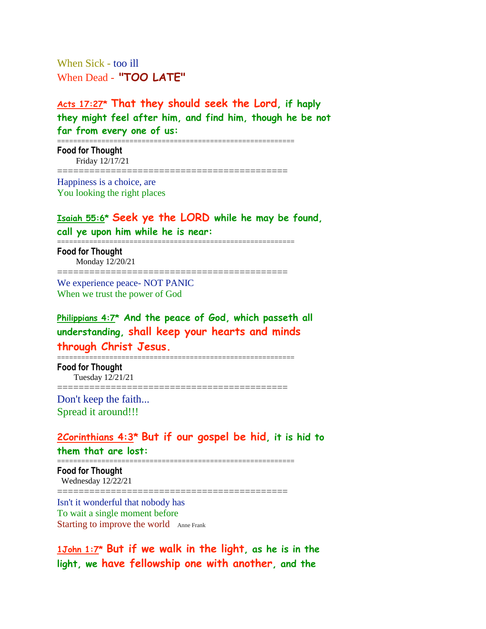When Sick - too ill When Dead - **"TOO LATE"**

**Acts 17:27\* That they should seek the Lord, if haply they might feel after him, and find him, though he be not far from every one of us:** 

===========================================

===========================================================

**Food for Thought** Friday 12/17/21

Happiness is a choice, are You looking the right places

# **Isaiah 55:6\* Seek ye the LORD while he may be found, call ye upon him while he is near:**

===========================================================

**Food for Thought** Monday 12/20/21

===========================================

We experience peace- NOT PANIC When we trust the power of God

**Philippians 4:7\* And the peace of God, which passeth all understanding, shall keep your hearts and minds through Christ Jesus.**

**Food for Thought** Tuesday 12/21/21

===========================================

===========================================================

Don't keep the faith... Spread it around!!!

## **2Corinthians 4:3\* But if our gospel be hid, it is hid to**

**them that are lost:**

=========================================================== **Food for Thought** Wednesday 12/22/21

===========================================

Isn't it wonderful that nobody has To wait a single moment before Starting to improve the world Anne Frank

**1John 1:7\* But if we walk in the light, as he is in the light, we have fellowship one with another, and the**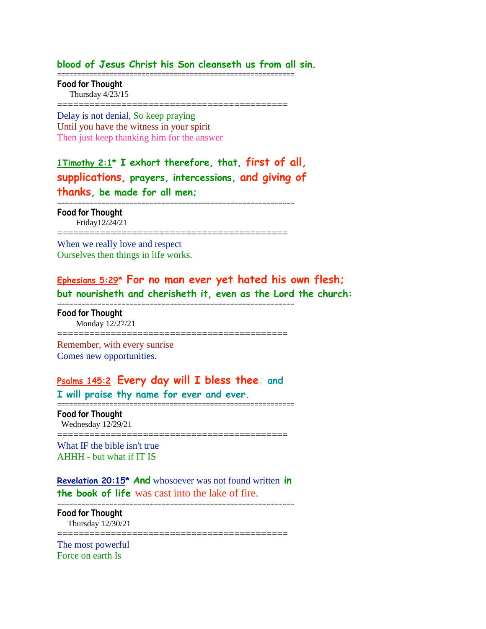#### **blood of Jesus Christ his Son cleanseth us from all sin.**

===========================================================

**Food for Thought** Thursday 4/23/15

===========================================

Delay is not denial, So keep praying Until you have the witness in your spirit Then just keep thanking him for the answer

**1Timothy 2:1\* I exhort therefore, that, first of all, supplications, prayers, intercessions, and giving of thanks, be made for all men;**

**Food for Thought** Friday12/24/21

===========================================

===========================================================

===========================================================

When we really love and respect Ourselves then things in life works.

**Ephesians 5:29\* For no man ever yet hated his own flesh; but nourisheth and cherisheth it, even as the Lord the church:**

**Food for Thought** Monday 12/27/21

=========================================== Remember, with every sunrise

Comes new opportunities.

# **Psalms 145:2 Every day will I bless thee; and**

**I will praise thy name for ever and ever.** ===========================================================

**Food for Thought** Wednesday 12/29/21

===========================================

What IF the bible isn't true AHHH - but what if IT IS

**Revelation 20:15\* And** whosoever was not found written **in the book of life** was cast into the lake of fire.

=========================================================== **Food for Thought**

Thursday 12/30/21

===========================================

The most powerful Force on earth Is